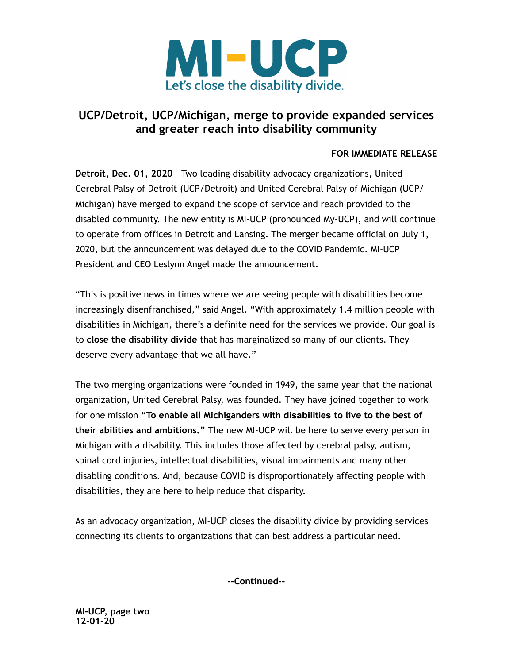

## **UCP/Detroit, UCP/Michigan, merge to provide expanded services and greater reach into disability community**

## **FOR IMMEDIATE RELEASE**

**Detroit, Dec. 01, 2020** – Two leading disability advocacy organizations, United Cerebral Palsy of Detroit (UCP/Detroit) and United Cerebral Palsy of Michigan (UCP/ Michigan) have merged to expand the scope of service and reach provided to the disabled community. The new entity is MI-UCP (pronounced My-UCP), and will continue to operate from offices in Detroit and Lansing. The merger became official on July 1, 2020, but the announcement was delayed due to the COVID Pandemic. MI-UCP President and CEO Leslynn Angel made the announcement.

"This is positive news in times where we are seeing people with disabilities become increasingly disenfranchised," said Angel. "With approximately 1.4 million people with disabilities in Michigan, there's a definite need for the services we provide. Our goal is to **close the disability divide** that has marginalized so many of our clients. They deserve every advantage that we all have."

The two merging organizations were founded in 1949, the same year that the national organization, United Cerebral Palsy, was founded. They have joined together to work for one mission **"To enable all Michiganders with disabilities to live to the best of their abilities and ambitions."** The new MI-UCP will be here to serve every person in Michigan with a disability. This includes those affected by cerebral palsy, autism, spinal cord injuries, intellectual disabilities, visual impairments and many other disabling conditions. And, because COVID is disproportionately affecting people with disabilities, they are here to help reduce that disparity.

As an advocacy organization, MI-UCP closes the disability divide by providing services connecting its clients to organizations that can best address a particular need.

**--Continued--**

**MI-UCP, page two 12-01-20**